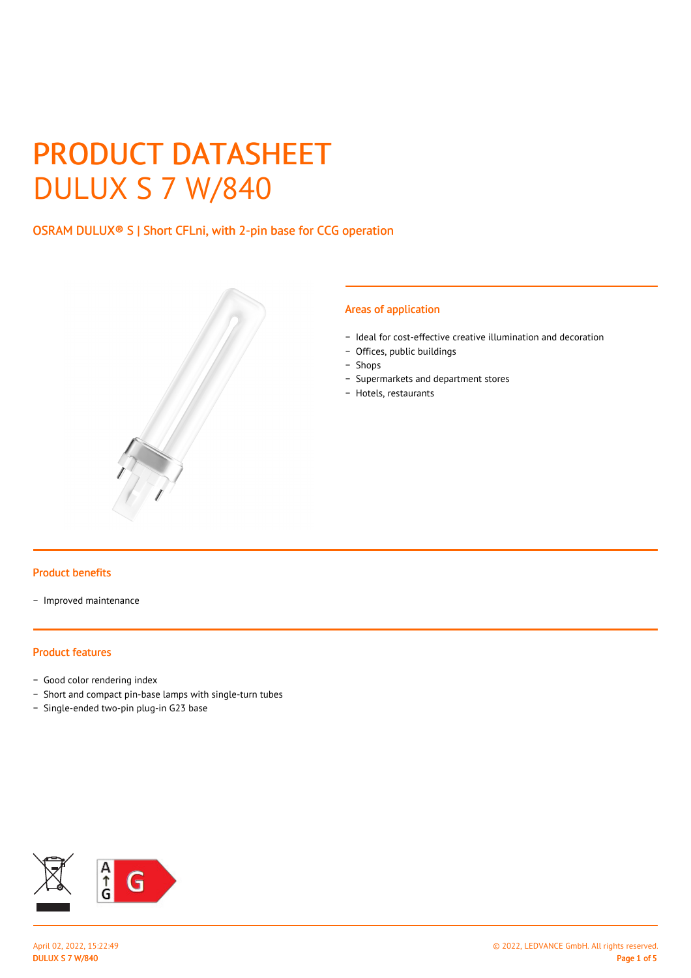# PRODUCT DATASHEET DULUX S 7 W/840

# OSRAM DULUX® S | Short CFLni, with 2-pin base for CCG operation



#### Areas of application

- − Ideal for cost-effective creative illumination and decoration
- − Offices, public buildings
- − Shops
- − Supermarkets and department stores
- − Hotels, restaurants

#### Product benefits

− Improved maintenance

#### Product features

- − Good color rendering index
- − Short and compact pin-base lamps with single-turn tubes
- − Single-ended two-pin plug-in G23 base

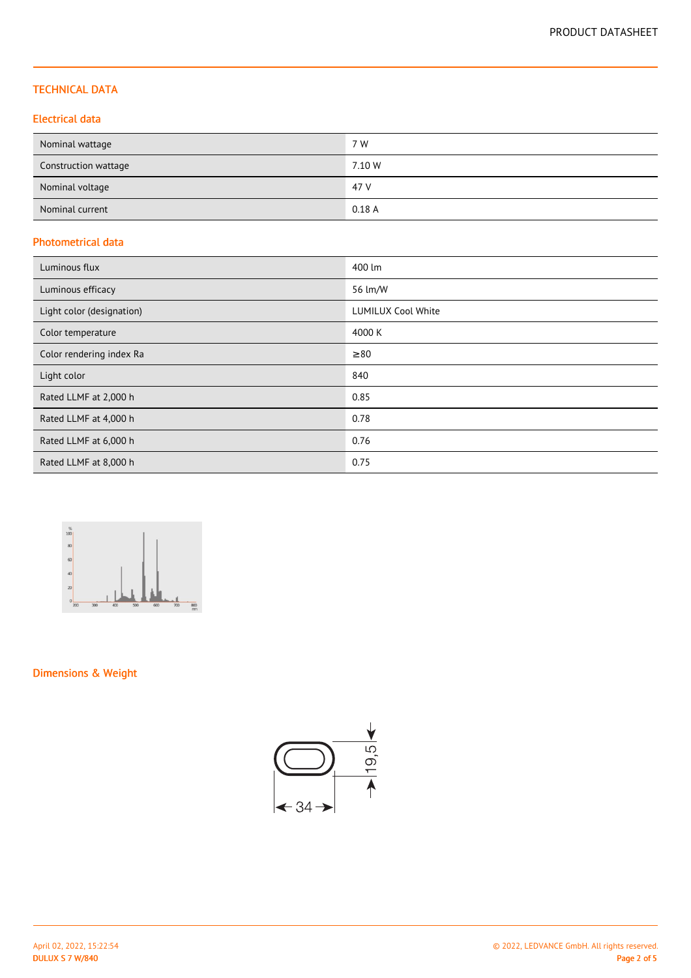## TECHNICAL DATA

## Electrical data

| Nominal wattage      | 7 W    |
|----------------------|--------|
| Construction wattage | 7.10 W |
| Nominal voltage      | 47 V   |
| Nominal current      | 0.18A  |

## Photometrical data

| Luminous flux             | 400 lm                    |
|---------------------------|---------------------------|
| Luminous efficacy         | 56 lm/W                   |
| Light color (designation) | <b>LUMILUX Cool White</b> |
| Color temperature         | 4000 K                    |
| Color rendering index Ra  | $\geq 80$                 |
| Light color               | 840                       |
| Rated LLMF at 2,000 h     | 0.85                      |
| Rated LLMF at 4,000 h     | 0.78                      |
| Rated LLMF at 6,000 h     | 0.76                      |
| Rated LLMF at 8,000 h     | 0.75                      |



# Dimensions & Weight

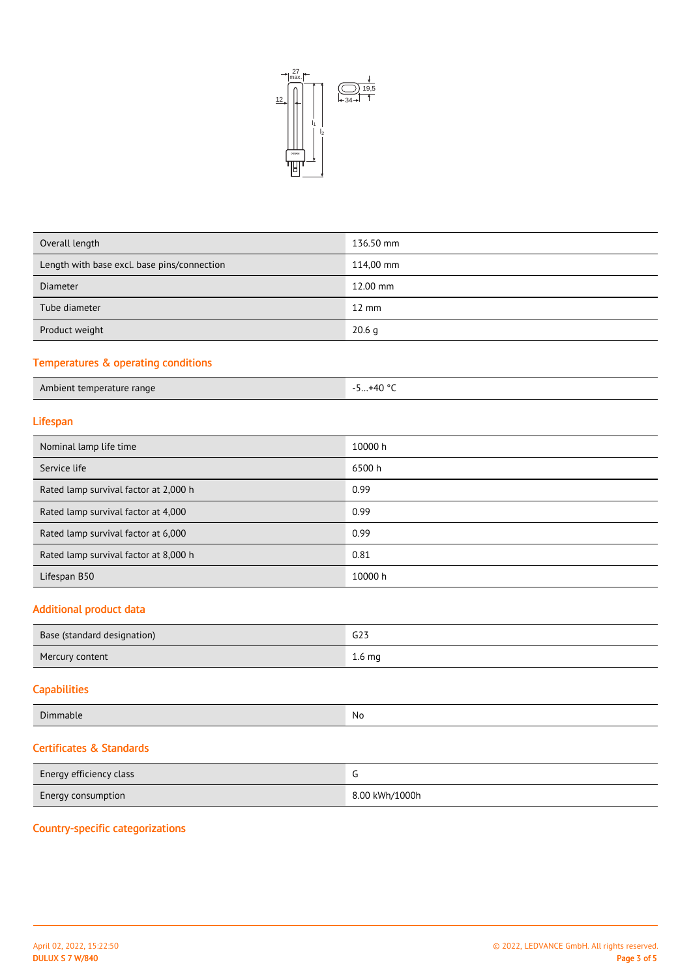

| Overall length                              | 136.50 mm         |
|---------------------------------------------|-------------------|
| Length with base excl. base pins/connection | 114,00 mm         |
| Diameter                                    | 12.00 mm          |
| Tube diameter                               | $12 \text{ mm}$   |
| Product weight                              | 20.6 <sub>q</sub> |
|                                             |                   |

# Temperatures & operating conditions

| Ambient temperature range | $+40$ °<br>- 1<br><u>.</u> |
|---------------------------|----------------------------|

# Lifespan

| Nominal lamp life time                | 10000 h |
|---------------------------------------|---------|
| Service life                          | 6500 h  |
| Rated lamp survival factor at 2,000 h | 0.99    |
| Rated lamp survival factor at 4,000   | 0.99    |
| Rated lamp survival factor at 6,000   | 0.99    |
| Rated lamp survival factor at 8,000 h | 0.81    |
| Lifespan B50                          | 10000 h |
|                                       |         |

## Additional product data

| Base (standard designation) | G23               |
|-----------------------------|-------------------|
| Mercury content             | 1.6 <sub>mg</sub> |

# **Capabilities**

| $\sim$<br>l )ir<br>imable | N0<br>$\sim$ $\sim$ |
|---------------------------|---------------------|

# Certificates & Standards

| Energy efficiency class   |                |
|---------------------------|----------------|
| <b>Energy consumption</b> | 8.00 kWh/1000h |

# Country-specific categorizations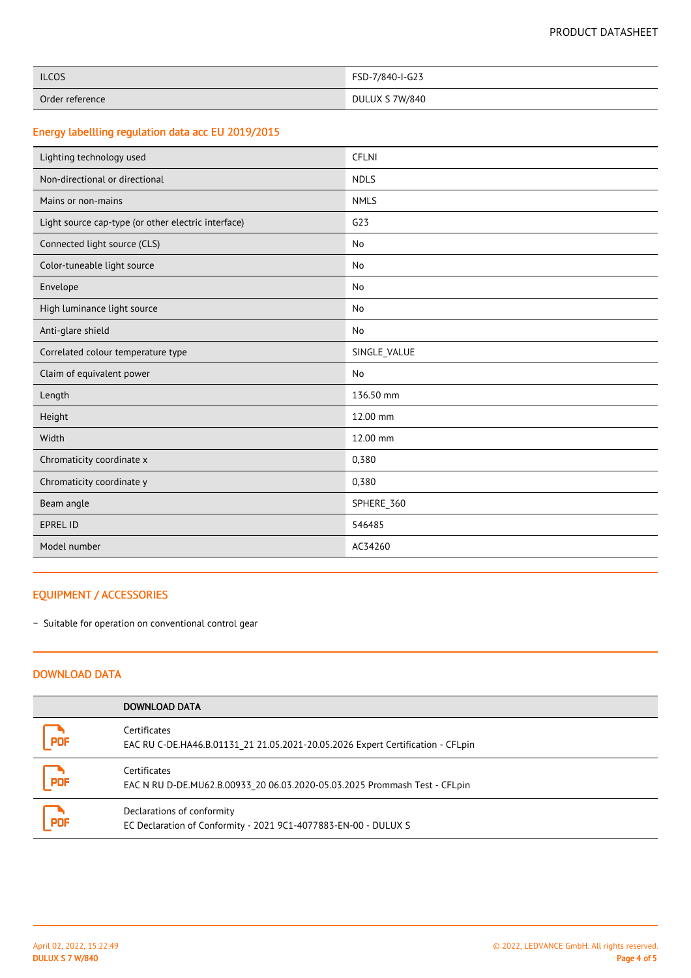| <b>ILCOS</b>    | FSD-7/840-I-G23 |
|-----------------|-----------------|
| Order reference | DULUX S 7W/840  |

# Energy labellling regulation data acc EU 2019/2015

| Lighting technology used                            | <b>CFLNI</b>    |
|-----------------------------------------------------|-----------------|
| Non-directional or directional                      | <b>NDLS</b>     |
| Mains or non-mains                                  | <b>NMLS</b>     |
| Light source cap-type (or other electric interface) | G <sub>23</sub> |
| Connected light source (CLS)                        | No              |
| Color-tuneable light source                         | No              |
| Envelope                                            | No              |
| High luminance light source                         | No              |
| Anti-glare shield                                   | No              |
| Correlated colour temperature type                  | SINGLE_VALUE    |
| Claim of equivalent power                           | No              |
| Length                                              | 136.50 mm       |
| Height                                              | 12.00 mm        |
| Width                                               | 12.00 mm        |
| Chromaticity coordinate x                           | 0,380           |
| Chromaticity coordinate y                           | 0,380           |
| Beam angle                                          | SPHERE_360      |
| <b>EPREL ID</b>                                     | 546485          |
| Model number                                        | AC34260         |

## EQUIPMENT / ACCESSORIES

− Suitable for operation on conventional control gear

### DOWNLOAD DATA

|            | DOWNLOAD DATA                                                                                   |
|------------|-------------------------------------------------------------------------------------------------|
| PDF        | Certificates<br>EAC RU C-DE.HA46.B.01131 21 21.05.2021-20.05.2026 Expert Certification - CFLpin |
| <b>PDF</b> | Certificates<br>EAC N RU D-DE.MU62.B.00933 20 06.03.2020-05.03.2025 Prommash Test - CFLpin      |
| ا ج<br>PDF | Declarations of conformity<br>EC Declaration of Conformity - 2021 9C1-4077883-EN-00 - DULUX S   |